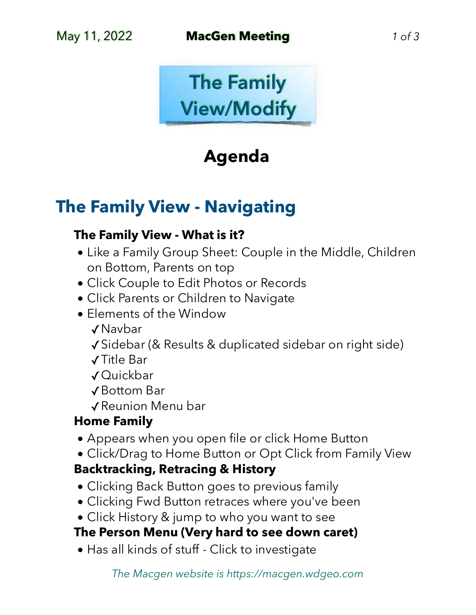

## **Agenda**

## **The Family View - Navigating**

#### **The Family View - What is it?**

- Like a Family Group Sheet: Couple in the Middle, Children on Bottom, Parents on top
- Click Couple to Edit Photos or Records
- Click Parents or Children to Navigate
- Elements of the Window
	- ✓Navbar
	- ✓Sidebar (& Results & duplicated sidebar on right side)
	- ✓Title Bar
	- ✓Quickbar
	- ✓Bottom Bar

✓Reunion Menu bar

## **Home Family**

- Appears when you open file or click Home Button
- Click/Drag to Home Button or Opt Click from Family View

## **Backtracking, Retracing & History**

- Clicking Back Button goes to previous family
- Clicking Fwd Button retraces where you've been
- Click History & jump to who you want to see

## **The Person Menu (Very hard to see down caret)**

• Has all kinds of stuff - Click to investigate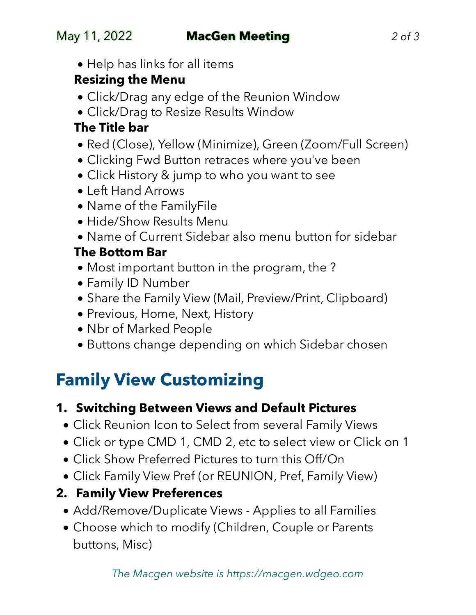• Help has links for all items

## **Resizing the Menu**

- Click/Drag any edge of the Reunion Window
- Click/Drag to Resize Results Window

## **The Title bar**

- Red (Close), Yellow (Minimize), Green (Zoom/Full Screen)
- Clicking Fwd Button retraces where you've been
- Click History & jump to who you want to see
- Left Hand Arrows
- Name of the FamilyFile
- Hide/Show Results Menu
- Name of Current Sidebar also menu button for sidebar

## **The Bottom Bar**

- Most important button in the program, the ?
- Family ID Number
- Share the Family View (Mail, Preview/Print, Clipboard)
- Previous, Home, Next, History
- Nbr of Marked People
- Buttons change depending on which Sidebar chosen

# **Family View Customizing**

## **1. Switching Between Views and Default Pictures**

- Click Reunion Icon to Select from several Family Views
- Click or type CMD 1, CMD 2, etc to select view or Click on 1
- Click Show Preferred Pictures to turn this Off/On
- Click Family View Pref (or REUNION, Pref, Family View)

## **2. Family View Preferences**

- Add/Remove/Duplicate Views Applies to all Families
- Choose which to modify (Children, Couple or Parents buttons, Misc)